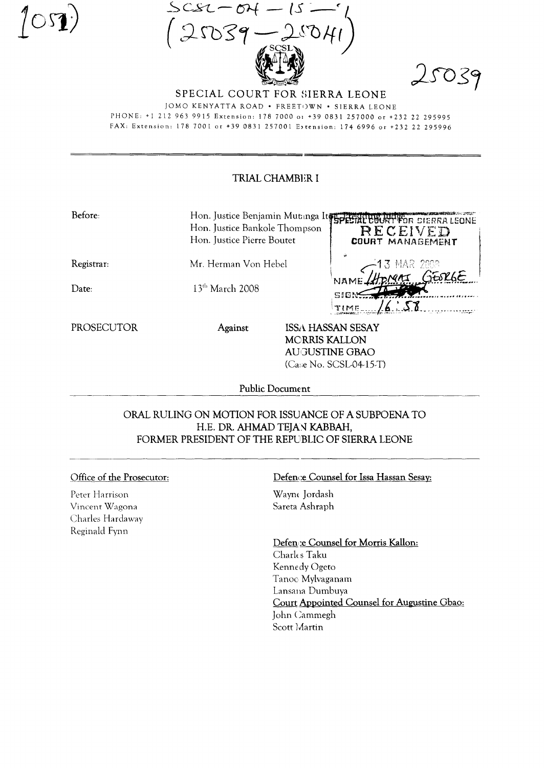$SCSL$ 



SPECIAL COURT FOR SIERRA LEONE JOMO KENYATTA ROAD . FREETOWN . SIERRA LEONE PHONE: +1 212 963 9915 Extension: 178 7000 o1 +39 0831 257000 or +232 22 295995

FAX: Extension: 178 7001 or +39 0831 257001 Extension: 174 6996 or +232 22 295996

## TRIAL CHAMBER I

| Before:    | Hon. Justice Bankole Thompson<br>Hon. Justice Pierre Boutet |                      | Hon. Justice Benjamin Mutanga Itse Presiding Judge Sterka LEONE<br>RECEIVED<br>COURT MANAGEMENT |
|------------|-------------------------------------------------------------|----------------------|-------------------------------------------------------------------------------------------------|
| Registrar: | Mr. Herman Von Hebel                                        |                      | 3 MAR 2008<br><b>DNAI GESRGE</b>                                                                |
| Date:      | $13th$ March 2008                                           |                      | NAME.<br>SIGN<br>TIME                                                                           |
| PROSECUTOR | Against                                                     | <b>MORRIS KALLON</b> | <b>ISSA HASSAN SESAY</b><br><b>AUGUSTINE GBAO</b><br>(Case No. SCSL04-15-T)                     |

Public Document

## ORAL RULING ON MOTION FOR ISSUANCE OF A SUBPOENA TO H.E. DR. AHMAD TEJAN KABBAH, FORMER PRESIDENT OF THE REPUBLIC OF SIERRA LEONE

## Office of the Prosecutor:

Peter Harrison Vincent Wagona Charles Hardaway Reginald Fynn

## Defence Counsel for Issa Hassan Sesay:

Wayne Jordash Sareta Ashraph

Defen e Counsel for Morris Kallon: Charles Taku Kennedy Ogeto Tanoc Mylvaganam Lansana Dumbuya Court Appointed Counsel for Augustine Gbao: John Cammegh Scott Martin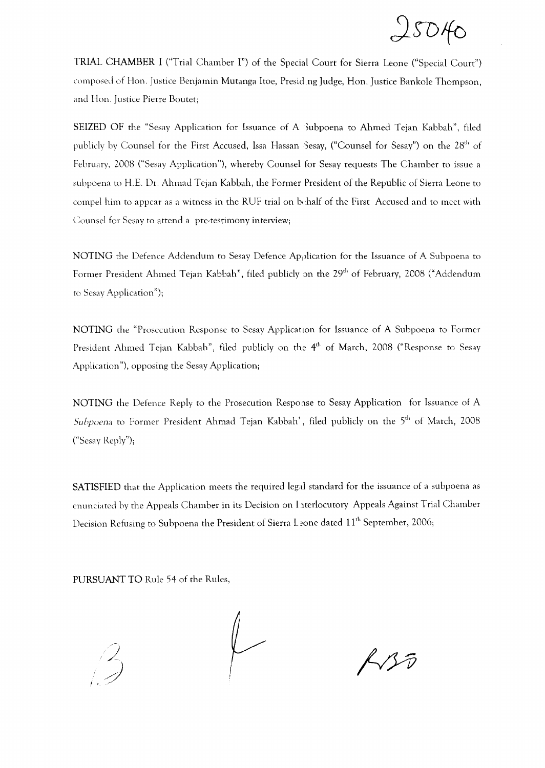$25040$ 

TRIAL CHAMBER I ("Trial Chamber I") of the Specia l Court for Sierra Leone ("Special Court") composed of Hon. Justice Benjamin Mutanga Itoe, Presid ng Judge, Hon. Justice Bankole Thompson, and Hon. Justice Pierre Boutet;

SEIZED OF the "Sesay Application for Issuance of A 3ubpoena to Ahmed Tejan Kabbah", filed publicly by Counsel for the First Accused, Issa Hassan Sesay, ("Counsel for Sesay") on the 28<sup>th</sup> of February, 2008 ("Sesay Application"), whereby Counsel for Sesay requests The Chamber to issue a subpoena to H.E. Dr. Ahmad Tejan Kabbah, the Former President of the Republic of Sierra Leone to compel him to appear as a witness in the RUF trial on behalf of the First Accused and to meet with Counsel for Sesay to attend a pre-testimony interview;

NOTING the Defence Addendum to Sesay Defence Application for the Issuance of A Subpoena to Former President Ahmed Tejan Kabbah", filed publicly on the 29<sup>th</sup> of February, 2008 ("Addendum to Sesay Application");

NOTING the "Prosecution Response to Sesay Application for Issuance of A Subpoena to Former President Ahmed Tejan Kabbah", filed publicly on the 4<sup>th</sup> of March, 2008 ("Response to Sesay Application "), opposing the Sesay Application;

NOTING the Defence Reply to the Prosecution Response to Sesay Application for Issuance of A *Subpoena* to Former President Ahmad Tejan Kabbah', filed publicly on the 5<sup>th</sup> of March, 2008 ("Sesay Reply");

SATISFIED that the Application meets the required legal standard for the issuance of a subpoena as enunciated by the Appeals Chamber in its Decision on hterlocutory Appeals Against Trial Chamber Decision Refusing to Subpoena the President of Sierra L~one dated **11th** September, 2006;

PURSUANT TO Rule 54 of the Rules,